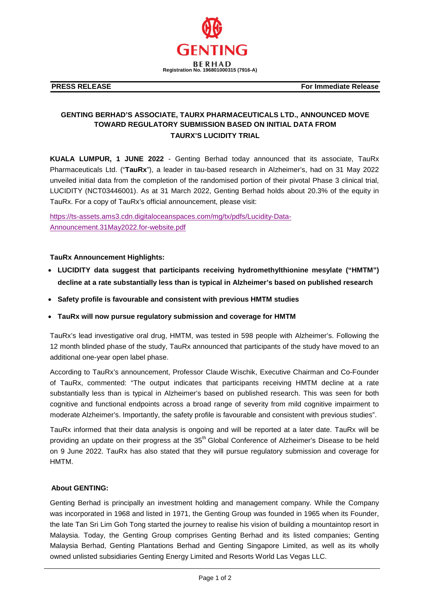

**PRESS RELEASE** For Immediate Release

## **GENTING BERHAD'S ASSOCIATE, TAURX PHARMACEUTICALS LTD., ANNOUNCED MOVE TOWARD REGULATORY SUBMISSION BASED ON INITIAL DATA FROM TAURX'S LUCIDITY TRIAL**

**KUALA LUMPUR, 1 JUNE 2022** - Genting Berhad today announced that its associate, TauRx Pharmaceuticals Ltd. ("**TauRx**"), a leader in tau-based research in Alzheimer's, had on 31 May 2022 unveiled initial data from the completion of the randomised portion of their pivotal Phase 3 clinical trial, LUCIDITY (NCT03446001). As at 31 March 2022, Genting Berhad holds about 20.3% of the equity in TauRx. For a copy of TauRx's official announcement, please visit:

[https://ts-assets.ams3.cdn.digitaloceanspaces.com/mg/tx/pdfs/Lucidity-Data-](https://ts-assets.ams3.cdn.digitaloceanspaces.com/mg/tx/pdfs/Lucidity-Data-Announcement.31May2022.for-website.pdf)[Announcement.31May2022.for-website.pdf](https://ts-assets.ams3.cdn.digitaloceanspaces.com/mg/tx/pdfs/Lucidity-Data-Announcement.31May2022.for-website.pdf)

## **TauRx Announcement Highlights:**

- **LUCIDITY data suggest that participants receiving hydromethylthionine mesylate ("HMTM") decline at a rate substantially less than is typical in Alzheimer's based on published research**
- **Safety profile is favourable and consistent with previous HMTM studies**
- **TauRx will now pursue regulatory submission and coverage for HMTM**

TauRx's lead investigative oral drug, HMTM, was tested in 598 people with Alzheimer's. Following the 12 month blinded phase of the study, TauRx announced that participants of the study have moved to an additional one-year open label phase.

According to TauRx's announcement, Professor Claude Wischik, Executive Chairman and Co-Founder of TauRx, commented: "The output indicates that participants receiving HMTM decline at a rate substantially less than is typical in Alzheimer's based on published research. This was seen for both cognitive and functional endpoints across a broad range of severity from mild cognitive impairment to moderate Alzheimer's. Importantly, the safety profile is favourable and consistent with previous studies".

TauRx informed that their data analysis is ongoing and will be reported at a later date. TauRx will be providing an update on their progress at the 35<sup>th</sup> Global Conference of Alzheimer's Disease to be held on 9 June 2022. TauRx has also stated that they will pursue regulatory submission and coverage for HMTM.

## **About GENTING:**

Genting Berhad is principally an investment holding and management company. While the Company was incorporated in 1968 and listed in 1971, the Genting Group was founded in 1965 when its Founder, the late Tan Sri Lim Goh Tong started the journey to realise his vision of building a mountaintop resort in Malaysia. Today, the Genting Group comprises Genting Berhad and its listed companies; Genting Malaysia Berhad, Genting Plantations Berhad and Genting Singapore Limited, as well as its wholly owned unlisted subsidiaries Genting Energy Limited and Resorts World Las Vegas LLC.